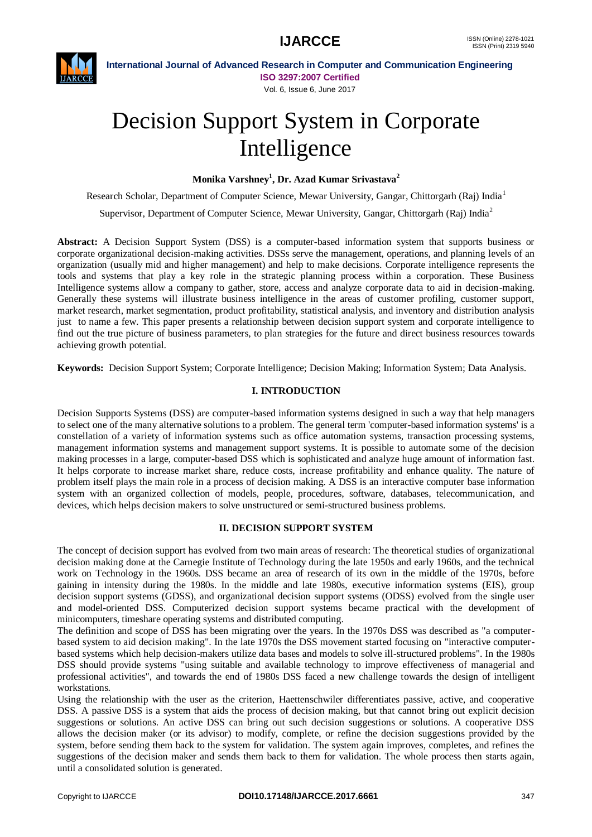

**International Journal of Advanced Research in Computer and Communication Engineering ISO 3297:2007 Certified** Vol. 6, Issue 6, June 2017

# Decision Support System in Corporate Intelligence

**Monika Varshney<sup>1</sup> , Dr. Azad Kumar Srivastava<sup>2</sup>**

Research Scholar, Department of Computer Science, Mewar University, Gangar, Chittorgarh (Raj) India<sup>1</sup>

Supervisor, Department of Computer Science, Mewar University, Gangar, Chittorgarh (Raj) India<sup>2</sup>

**Abstract:** A Decision Support System (DSS) is a computer-based information system that supports business or corporate organizational decision-making activities. DSSs serve the management, operations, and planning levels of an organization (usually mid and higher management) and help to make decisions. Corporate intelligence represents the tools and systems that play a key role in the strategic planning process within a corporation. These Business Intelligence systems allow a company to gather, store, access and analyze corporate data to aid in decision-making. Generally these systems will illustrate business intelligence in the areas of customer profiling, customer support, market research, market segmentation, product profitability, statistical analysis, and inventory and distribution analysis just to name a few. This paper presents a relationship between decision support system and corporate intelligence to find out the true picture of business parameters, to plan strategies for the future and direct business resources towards achieving growth potential.

**Keywords:** Decision Support System; Corporate Intelligence; Decision Making; Information System; Data Analysis.

# **I. INTRODUCTION**

Decision Supports Systems (DSS) are computer-based information systems designed in such a way that help managers to select one of the many alternative solutions to a problem. The general term 'computer-based information systems' is a constellation of a variety of information systems such as office automation systems, transaction processing systems, management information systems and management support systems. It is possible to automate some of the decision making processes in a large, computer-based DSS which is sophisticated and analyze huge amount of information fast. It helps corporate to increase market share, reduce costs, increase profitability and enhance quality. The nature of problem itself plays the main role in a process of decision making. A DSS is an interactive computer base information system with an organized collection of models, people, procedures, software, databases, telecommunication, and devices, which helps decision makers to solve unstructured or semi-structured business problems.

#### **II. DECISION SUPPORT SYSTEM**

The concept of decision support has evolved from two main areas of research: The theoretical studies of organizational decision making done at the Carnegie Institute of Technology during the late 1950s and early 1960s, and the technical work on Technology in the 1960s. DSS became an area of research of its own in the middle of the 1970s, before gaining in intensity during the 1980s. In the middle and late 1980s, executive information systems (EIS), group decision support systems (GDSS), and organizational decision support systems (ODSS) evolved from the single user and model-oriented DSS. Computerized decision support systems became practical with the development of minicomputers, timeshare operating systems and distributed computing.

The definition and scope of DSS has been migrating over the years. In the 1970s DSS was described as "a computerbased system to aid decision making". In the late 1970s the DSS movement started focusing on "interactive computerbased systems which help decision-makers utilize data bases and models to solve ill-structured problems". In the 1980s DSS should provide systems "using suitable and available technology to improve effectiveness of managerial and professional activities", and towards the end of 1980s DSS faced a new challenge towards the design of intelligent workstations.

Using the relationship with the user as the criterion, Haettenschwiler differentiates passive, active, and cooperative DSS. A passive DSS is a system that aids the process of decision making, but that cannot bring out explicit decision suggestions or solutions. An active DSS can bring out such decision suggestions or solutions. A cooperative DSS allows the decision maker (or its advisor) to modify, complete, or refine the decision suggestions provided by the system, before sending them back to the system for validation. The system again improves, completes, and refines the suggestions of the decision maker and sends them back to them for validation. The whole process then starts again, until a consolidated solution is generated.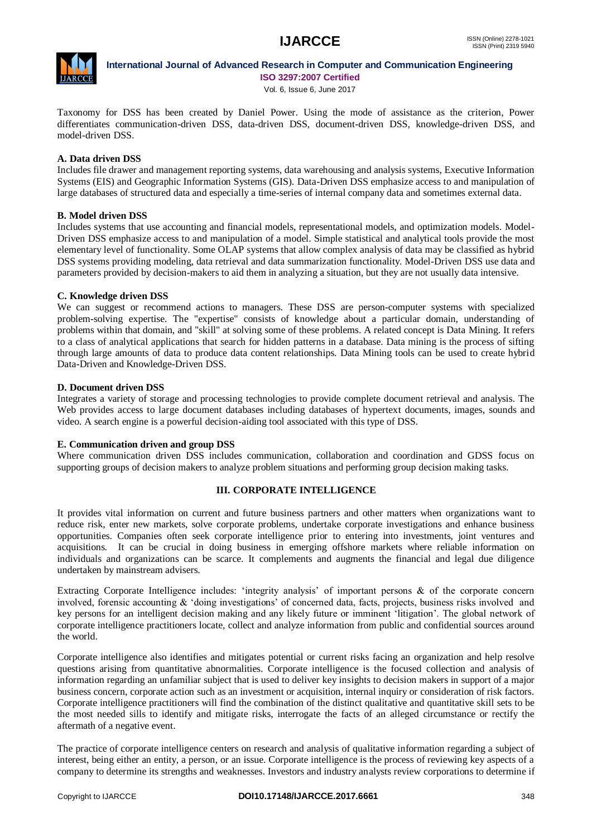

#### **International Journal of Advanced Research in Computer and Communication Engineering ISO 3297:2007 Certified**

Vol. 6, Issue 6, June 2017

Taxonomy for DSS has been created by Daniel Power. Using the mode of assistance as the criterion, Power differentiates communication-driven DSS, data-driven DSS, document-driven DSS, knowledge-driven DSS, and model-driven DSS.

# **A. Data driven DSS**

Includes file drawer and management reporting systems, data warehousing and analysis systems, Executive Information Systems (EIS) and Geographic Information Systems (GIS). Data-Driven DSS emphasize access to and manipulation of large databases of structured data and especially a time-series of internal company data and sometimes external data.

# **B. Model driven DSS**

Includes systems that use accounting and financial models, representational models, and optimization models. Model-Driven DSS emphasize access to and manipulation of a model. Simple statistical and analytical tools provide the most elementary level of functionality. Some OLAP systems that allow complex analysis of data may be classified as hybrid DSS systems providing modeling, data retrieval and data summarization functionality. Model-Driven DSS use data and parameters provided by decision-makers to aid them in analyzing a situation, but they are not usually data intensive.

# **C. Knowledge driven DSS**

We can suggest or recommend actions to managers. These DSS are person-computer systems with specialized problem-solving expertise. The "expertise" consists of knowledge about a particular domain, understanding of problems within that domain, and "skill" at solving some of these problems. A related concept is Data Mining. It refers to a class of analytical applications that search for hidden patterns in a database. Data mining is the process of sifting through large amounts of data to produce data content relationships. Data Mining tools can be used to create hybrid Data-Driven and Knowledge-Driven DSS.

# **D. Document driven DSS**

Integrates a variety of storage and processing technologies to provide complete document retrieval and analysis. The Web provides access to large document databases including databases of hypertext documents, images, sounds and video. A search engine is a powerful decision-aiding tool associated with this type of DSS.

#### **E. Communication driven and group DSS**

Where communication driven DSS includes communication, collaboration and coordination and GDSS focus on supporting groups of decision makers to analyze problem situations and performing group decision making tasks.

# **III. CORPORATE INTELLIGENCE**

It provides vital information on current and future business partners and other matters when organizations want to reduce risk, enter new markets, solve corporate problems, undertake corporate investigations and enhance business opportunities. Companies often seek corporate intelligence prior to entering into investments, joint ventures and acquisitions. It can be crucial in doing business in emerging offshore markets where reliable information on individuals and organizations can be scarce. It complements and augments the financial and legal due diligence undertaken by mainstream advisers.

Extracting Corporate Intelligence includes: 'integrity analysis' of important persons & of the corporate concern involved, forensic accounting & "doing investigations" of concerned data, facts, projects, business risks involved and key persons for an intelligent decision making and any likely future or imminent "litigation". The global network of corporate intelligence practitioners locate, collect and analyze information from public and confidential sources around the world.

Corporate intelligence also identifies and mitigates potential or current risks facing an organization and help resolve questions arising from quantitative abnormalities. Corporate intelligence is the focused collection and analysis of information regarding an unfamiliar subject that is used to deliver key insights to decision makers in support of a major business concern, corporate action such as an investment or acquisition, internal inquiry or consideration of risk factors. Corporate intelligence practitioners will find the combination of the distinct qualitative and quantitative skill sets to be the most needed sills to identify and mitigate risks, interrogate the facts of an alleged circumstance or rectify the aftermath of a negative event.

The practice of corporate intelligence centers on research and analysis of qualitative information regarding a subject of interest, being either an entity, a person, or an issue. Corporate intelligence is the process of reviewing key aspects of a company to determine its strengths and weaknesses. Investors and industry analysts review corporations to determine if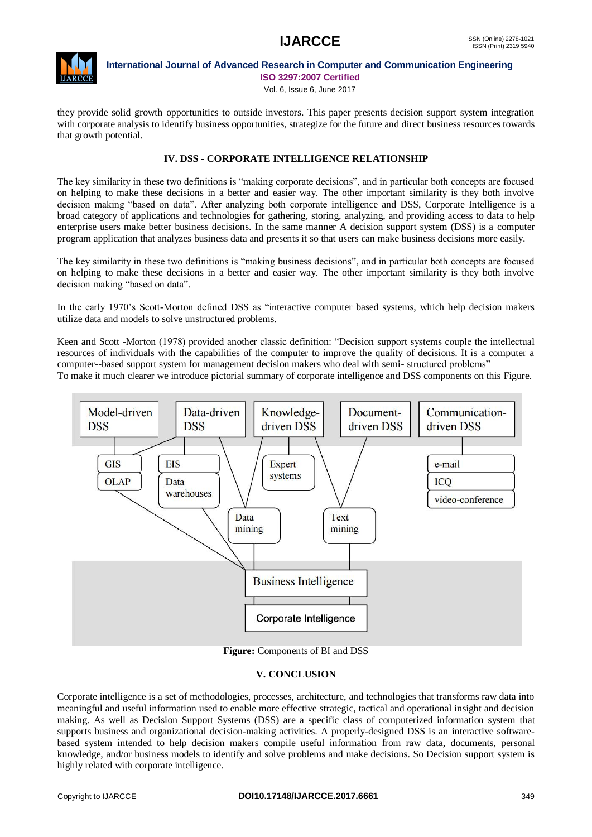

**International Journal of Advanced Research in Computer and Communication Engineering ISO 3297:2007 Certified**

Vol. 6, Issue 6, June 2017

they provide solid growth opportunities to outside investors. This paper presents decision support system integration with corporate analysis to identify business opportunities, strategize for the future and direct business resources towards that growth potential.

# **IV. DSS - CORPORATE INTELLIGENCE RELATIONSHIP**

The key similarity in these two definitions is "making corporate decisions", and in particular both concepts are focused on helping to make these decisions in a better and easier way. The other important similarity is they both involve decision making "based on data". After analyzing both corporate intelligence and DSS, Corporate Intelligence is a broad category of applications and technologies for gathering, storing, analyzing, and providing access to data to help enterprise users make better business decisions. In the same manner A decision support system (DSS) is a computer program application that analyzes business data and presents it so that users can make business decisions more easily.

The key similarity in these two definitions is "making business decisions", and in particular both concepts are focused on helping to make these decisions in a better and easier way. The other important similarity is they both involve decision making "based on data".

In the early 1970"s Scott-Morton defined DSS as "interactive computer based systems, which help decision makers utilize data and models to solve unstructured problems.

Keen and Scott -Morton (1978) provided another classic definition: "Decision support systems couple the intellectual resources of individuals with the capabilities of the computer to improve the quality of decisions. It is a computer a computer--based support system for management decision makers who deal with semi- structured problems"

To make it much clearer we introduce pictorial summary of corporate intelligence and DSS components on this Figure.



**Figure:** Components of BI and DSS

# **V. CONCLUSION**

Corporate intelligence is a set of methodologies, processes, architecture, and technologies that transforms raw data into meaningful and useful information used to enable more effective strategic, tactical and operational insight and decision making. As well as Decision Support Systems (DSS) are a specific class of computerized information system that supports business and organizational decision-making activities. A properly-designed DSS is an interactive softwarebased system intended to help decision makers compile useful information from raw data, documents, personal knowledge, and/or business models to identify and solve problems and make decisions. So Decision support system is highly related with corporate intelligence.